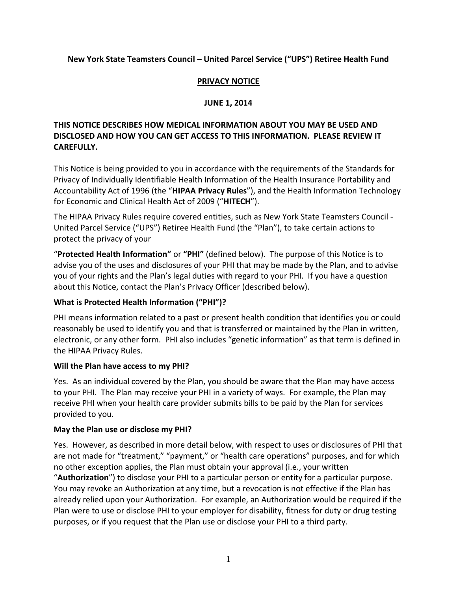### **New York State Teamsters Council – United Parcel Service ("UPS") Retiree Health Fund**

#### **PRIVACY NOTICE**

### **JUNE 1, 2014**

## **THIS NOTICE DESCRIBES HOW MEDICAL INFORMATION ABOUT YOU MAY BE USED AND DISCLOSED AND HOW YOU CAN GET ACCESS TO THIS INFORMATION. PLEASE REVIEW IT CAREFULLY.**

This Notice is being provided to you in accordance with the requirements of the Standards for Privacy of Individually Identifiable Health Information of the Health Insurance Portability and Accountability Act of 1996 (the "**HIPAA Privacy Rules**"), and the Health Information Technology for Economic and Clinical Health Act of 2009 ("**HITECH**").

The HIPAA Privacy Rules require covered entities, such as New York State Teamsters Council - United Parcel Service ("UPS") Retiree Health Fund (the "Plan"), to take certain actions to protect the privacy of your

"**Protected Health Information"** or **"PHI"** (defined below). The purpose of this Notice is to advise you of the uses and disclosures of your PHI that may be made by the Plan, and to advise you of your rights and the Plan's legal duties with regard to your PHI. If you have a question about this Notice, contact the Plan's Privacy Officer (described below).

### **What is Protected Health Information ("PHI")?**

PHI means information related to a past or present health condition that identifies you or could reasonably be used to identify you and that is transferred or maintained by the Plan in written, electronic, or any other form. PHI also includes "genetic information" as that term is defined in the HIPAA Privacy Rules.

### **Will the Plan have access to my PHI?**

Yes. As an individual covered by the Plan, you should be aware that the Plan may have access to your PHI. The Plan may receive your PHI in a variety of ways. For example, the Plan may receive PHI when your health care provider submits bills to be paid by the Plan for services provided to you.

### **May the Plan use or disclose my PHI?**

Yes. However, as described in more detail below, with respect to uses or disclosures of PHI that are not made for "treatment," "payment," or "health care operations" purposes, and for which no other exception applies, the Plan must obtain your approval (i.e., your written "**Authorization**") to disclose your PHI to a particular person or entity for a particular purpose. You may revoke an Authorization at any time, but a revocation is not effective if the Plan has already relied upon your Authorization. For example, an Authorization would be required if the Plan were to use or disclose PHI to your employer for disability, fitness for duty or drug testing purposes, or if you request that the Plan use or disclose your PHI to a third party.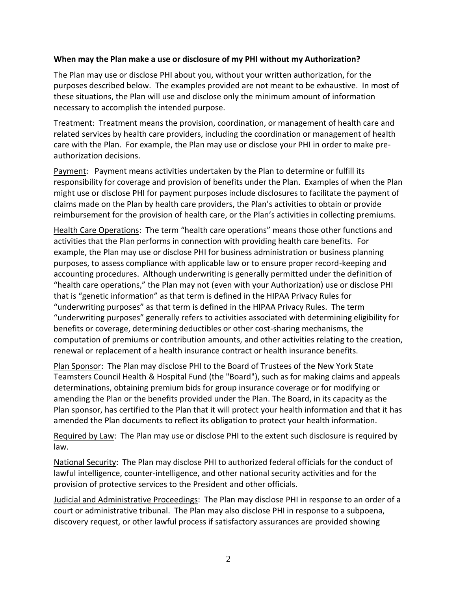#### **When may the Plan make a use or disclosure of my PHI without my Authorization?**

The Plan may use or disclose PHI about you, without your written authorization, for the purposes described below. The examples provided are not meant to be exhaustive. In most of these situations, the Plan will use and disclose only the minimum amount of information necessary to accomplish the intended purpose.

Treatment: Treatment means the provision, coordination, or management of health care and related services by health care providers, including the coordination or management of health care with the Plan. For example, the Plan may use or disclose your PHI in order to make preauthorization decisions.

Payment: Payment means activities undertaken by the Plan to determine or fulfill its responsibility for coverage and provision of benefits under the Plan. Examples of when the Plan might use or disclose PHI for payment purposes include disclosures to facilitate the payment of claims made on the Plan by health care providers, the Plan's activities to obtain or provide reimbursement for the provision of health care, or the Plan's activities in collecting premiums.

Health Care Operations: The term "health care operations" means those other functions and activities that the Plan performs in connection with providing health care benefits. For example, the Plan may use or disclose PHI for business administration or business planning purposes, to assess compliance with applicable law or to ensure proper record-keeping and accounting procedures. Although underwriting is generally permitted under the definition of "health care operations," the Plan may not (even with your Authorization) use or disclose PHI that is "genetic information" as that term is defined in the HIPAA Privacy Rules for "underwriting purposes" as that term is defined in the HIPAA Privacy Rules. The term "underwriting purposes" generally refers to activities associated with determining eligibility for benefits or coverage, determining deductibles or other cost-sharing mechanisms, the computation of premiums or contribution amounts, and other activities relating to the creation, renewal or replacement of a health insurance contract or health insurance benefits.

Plan Sponsor: The Plan may disclose PHI to the Board of Trustees of the New York State Teamsters Council Health & Hospital Fund (the "Board"), such as for making claims and appeals determinations, obtaining premium bids for group insurance coverage or for modifying or amending the Plan or the benefits provided under the Plan. The Board, in its capacity as the Plan sponsor, has certified to the Plan that it will protect your health information and that it has amended the Plan documents to reflect its obligation to protect your health information.

Required by Law: The Plan may use or disclose PHI to the extent such disclosure is required by law.

National Security: The Plan may disclose PHI to authorized federal officials for the conduct of lawful intelligence, counter-intelligence, and other national security activities and for the provision of protective services to the President and other officials.

Judicial and Administrative Proceedings: The Plan may disclose PHI in response to an order of a court or administrative tribunal. The Plan may also disclose PHI in response to a subpoena, discovery request, or other lawful process if satisfactory assurances are provided showing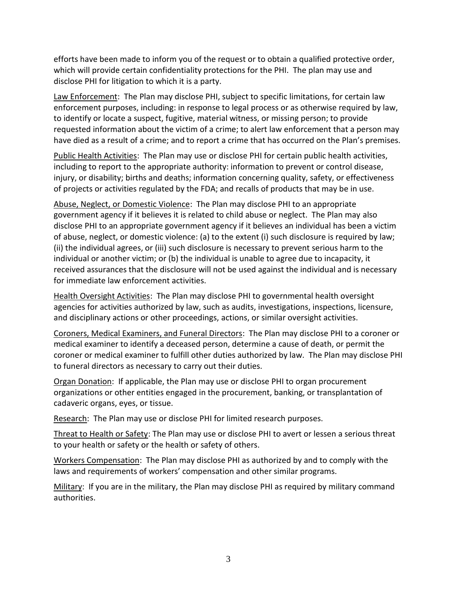efforts have been made to inform you of the request or to obtain a qualified protective order, which will provide certain confidentiality protections for the PHI. The plan may use and disclose PHI for litigation to which it is a party.

Law Enforcement: The Plan may disclose PHI, subject to specific limitations, for certain law enforcement purposes, including: in response to legal process or as otherwise required by law, to identify or locate a suspect, fugitive, material witness, or missing person; to provide requested information about the victim of a crime; to alert law enforcement that a person may have died as a result of a crime; and to report a crime that has occurred on the Plan's premises.

Public Health Activities: The Plan may use or disclose PHI for certain public health activities, including to report to the appropriate authority: information to prevent or control disease, injury, or disability; births and deaths; information concerning quality, safety, or effectiveness of projects or activities regulated by the FDA; and recalls of products that may be in use.

Abuse, Neglect, or Domestic Violence: The Plan may disclose PHI to an appropriate government agency if it believes it is related to child abuse or neglect. The Plan may also disclose PHI to an appropriate government agency if it believes an individual has been a victim of abuse, neglect, or domestic violence: (a) to the extent (i) such disclosure is required by law; (ii) the individual agrees, or (iii) such disclosure is necessary to prevent serious harm to the individual or another victim; or (b) the individual is unable to agree due to incapacity, it received assurances that the disclosure will not be used against the individual and is necessary for immediate law enforcement activities.

Health Oversight Activities: The Plan may disclose PHI to governmental health oversight agencies for activities authorized by law, such as audits, investigations, inspections, licensure, and disciplinary actions or other proceedings, actions, or similar oversight activities.

Coroners, Medical Examiners, and Funeral Directors: The Plan may disclose PHI to a coroner or medical examiner to identify a deceased person, determine a cause of death, or permit the coroner or medical examiner to fulfill other duties authorized by law. The Plan may disclose PHI to funeral directors as necessary to carry out their duties.

Organ Donation: If applicable, the Plan may use or disclose PHI to organ procurement organizations or other entities engaged in the procurement, banking, or transplantation of cadaveric organs, eyes, or tissue.

Research: The Plan may use or disclose PHI for limited research purposes.

Threat to Health or Safety: The Plan may use or disclose PHI to avert or lessen a serious threat to your health or safety or the health or safety of others.

Workers Compensation: The Plan may disclose PHI as authorized by and to comply with the laws and requirements of workers' compensation and other similar programs.

Military: If you are in the military, the Plan may disclose PHI as required by military command authorities.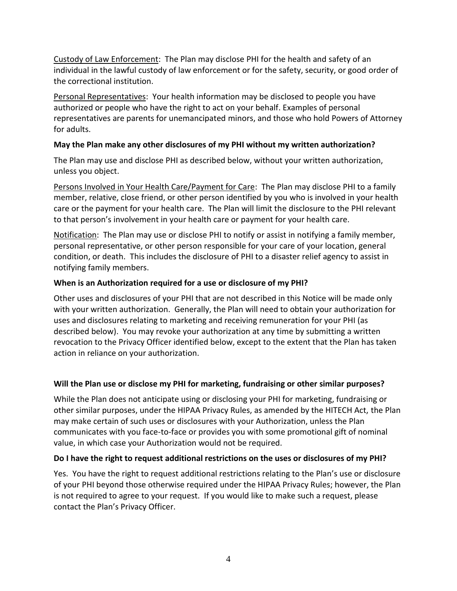Custody of Law Enforcement: The Plan may disclose PHI for the health and safety of an individual in the lawful custody of law enforcement or for the safety, security, or good order of the correctional institution.

Personal Representatives: Your health information may be disclosed to people you have authorized or people who have the right to act on your behalf. Examples of personal representatives are parents for unemancipated minors, and those who hold Powers of Attorney for adults.

### **May the Plan make any other disclosures of my PHI without my written authorization?**

The Plan may use and disclose PHI as described below, without your written authorization, unless you object.

Persons Involved in Your Health Care/Payment for Care: The Plan may disclose PHI to a family member, relative, close friend, or other person identified by you who is involved in your health care or the payment for your health care. The Plan will limit the disclosure to the PHI relevant to that person's involvement in your health care or payment for your health care.

Notification: The Plan may use or disclose PHI to notify or assist in notifying a family member, personal representative, or other person responsible for your care of your location, general condition, or death. This includes the disclosure of PHI to a disaster relief agency to assist in notifying family members.

# **When is an Authorization required for a use or disclosure of my PHI?**

Other uses and disclosures of your PHI that are not described in this Notice will be made only with your written authorization. Generally, the Plan will need to obtain your authorization for uses and disclosures relating to marketing and receiving remuneration for your PHI (as described below). You may revoke your authorization at any time by submitting a written revocation to the Privacy Officer identified below, except to the extent that the Plan has taken action in reliance on your authorization.

# **Will the Plan use or disclose my PHI for marketing, fundraising or other similar purposes?**

While the Plan does not anticipate using or disclosing your PHI for marketing, fundraising or other similar purposes, under the HIPAA Privacy Rules, as amended by the HITECH Act, the Plan may make certain of such uses or disclosures with your Authorization, unless the Plan communicates with you face-to-face or provides you with some promotional gift of nominal value, in which case your Authorization would not be required.

### **Do I have the right to request additional restrictions on the uses or disclosures of my PHI?**

Yes. You have the right to request additional restrictions relating to the Plan's use or disclosure of your PHI beyond those otherwise required under the HIPAA Privacy Rules; however, the Plan is not required to agree to your request. If you would like to make such a request, please contact the Plan's Privacy Officer.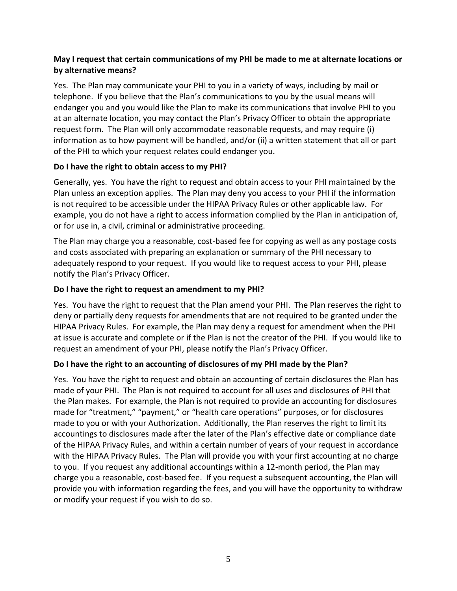## **May I request that certain communications of my PHI be made to me at alternate locations or by alternative means?**

Yes. The Plan may communicate your PHI to you in a variety of ways, including by mail or telephone. If you believe that the Plan's communications to you by the usual means will endanger you and you would like the Plan to make its communications that involve PHI to you at an alternate location, you may contact the Plan's Privacy Officer to obtain the appropriate request form. The Plan will only accommodate reasonable requests, and may require (i) information as to how payment will be handled, and/or (ii) a written statement that all or part of the PHI to which your request relates could endanger you.

### **Do I have the right to obtain access to my PHI?**

Generally, yes. You have the right to request and obtain access to your PHI maintained by the Plan unless an exception applies. The Plan may deny you access to your PHI if the information is not required to be accessible under the HIPAA Privacy Rules or other applicable law. For example, you do not have a right to access information complied by the Plan in anticipation of, or for use in, a civil, criminal or administrative proceeding.

The Plan may charge you a reasonable, cost-based fee for copying as well as any postage costs and costs associated with preparing an explanation or summary of the PHI necessary to adequately respond to your request. If you would like to request access to your PHI, please notify the Plan's Privacy Officer.

### **Do I have the right to request an amendment to my PHI?**

Yes. You have the right to request that the Plan amend your PHI. The Plan reserves the right to deny or partially deny requests for amendments that are not required to be granted under the HIPAA Privacy Rules. For example, the Plan may deny a request for amendment when the PHI at issue is accurate and complete or if the Plan is not the creator of the PHI. If you would like to request an amendment of your PHI, please notify the Plan's Privacy Officer.

### **Do I have the right to an accounting of disclosures of my PHI made by the Plan?**

Yes. You have the right to request and obtain an accounting of certain disclosures the Plan has made of your PHI. The Plan is not required to account for all uses and disclosures of PHI that the Plan makes. For example, the Plan is not required to provide an accounting for disclosures made for "treatment," "payment," or "health care operations" purposes, or for disclosures made to you or with your Authorization. Additionally, the Plan reserves the right to limit its accountings to disclosures made after the later of the Plan's effective date or compliance date of the HIPAA Privacy Rules, and within a certain number of years of your request in accordance with the HIPAA Privacy Rules. The Plan will provide you with your first accounting at no charge to you. If you request any additional accountings within a 12-month period, the Plan may charge you a reasonable, cost-based fee. If you request a subsequent accounting, the Plan will provide you with information regarding the fees, and you will have the opportunity to withdraw or modify your request if you wish to do so.